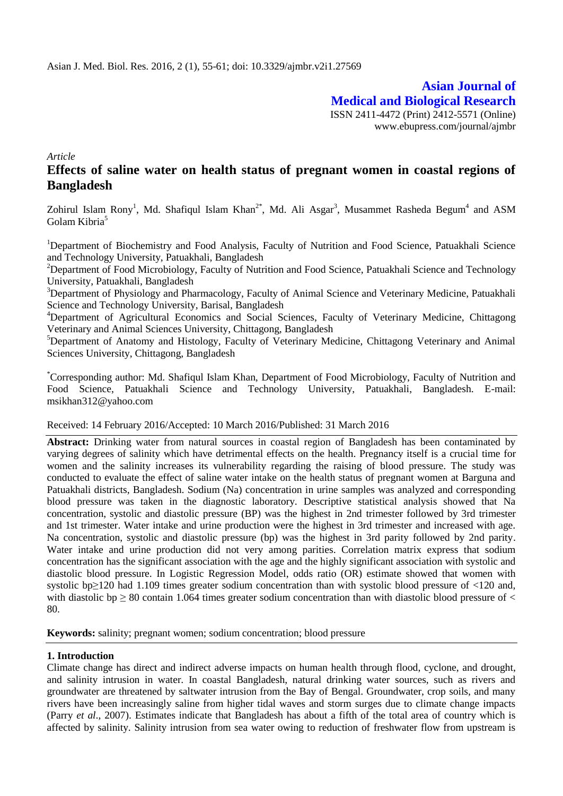**Asian Journal of Medical and Biological Research** ISSN 2411-4472 (Print) 2412-5571 (Online) www.ebupress.com/journal/ajmbr

*Article*

# **Effects of saline water on health status of pregnant women in coastal regions of Bangladesh**

Zohirul Islam Rony<sup>1</sup>, Md. Shafiqul Islam Khan<sup>2\*</sup>, Md. Ali Asgar<sup>3</sup>, Musammet Rasheda Begum<sup>4</sup> and ASM Golam Kibria<sup>5</sup>

<sup>1</sup>Department of Biochemistry and Food Analysis, Faculty of Nutrition and Food Science, Patuakhali Science and Technology University, Patuakhali, Bangladesh

<sup>2</sup>Department of Food Microbiology, Faculty of Nutrition and Food Science, Patuakhali Science and Technology University, Patuakhali, Bangladesh

<sup>3</sup>Department of Physiology and Pharmacology, Faculty of Animal Science and Veterinary Medicine, Patuakhali Science and Technology University, Barisal, Bangladesh

<sup>4</sup>Department of Agricultural Economics and Social Sciences, Faculty of Veterinary Medicine, Chittagong Veterinary and Animal Sciences University, Chittagong, Bangladesh

<sup>5</sup>Department of Anatomy and Histology, Faculty of Veterinary Medicine, Chittagong Veterinary and Animal Sciences University, Chittagong, Bangladesh

\*Corresponding author: Md. Shafiqul Islam Khan, Department of Food Microbiology, Faculty of Nutrition and Food Science, Patuakhali Science and Technology University, Patuakhali, Bangladesh. E-mail: msikhan312@yahoo.com

# Received: 14 February 2016/Accepted: 10 March 2016/Published: 31 March 2016

**Abstract:** Drinking water from natural sources in coastal region of Bangladesh has been contaminated by varying degrees of salinity which have detrimental effects on the health. Pregnancy itself is a crucial time for women and the salinity increases its vulnerability regarding the raising of blood pressure. The study was conducted to evaluate the effect of saline water intake on the health status of pregnant women at Barguna and Patuakhali districts, Bangladesh. Sodium (Na) concentration in urine samples was analyzed and corresponding blood pressure was taken in the diagnostic laboratory. Descriptive statistical analysis showed that Na concentration, systolic and diastolic pressure (BP) was the highest in 2nd trimester followed by 3rd trimester and 1st trimester. Water intake and urine production were the highest in 3rd trimester and increased with age. Na concentration, systolic and diastolic pressure (bp) was the highest in 3rd parity followed by 2nd parity. Water intake and urine production did not very among parities. Correlation matrix express that sodium concentration has the significant association with the age and the highly significant association with systolic and diastolic blood pressure. In Logistic Regression Model, odds ratio (OR) estimate showed that women with systolic bp≥120 had 1.109 times greater sodium concentration than with systolic blood pressure of <120 and, with diastolic bp  $\geq 80$  contain 1.064 times greater sodium concentration than with diastolic blood pressure of  $\leq$ 80.

**Keywords:** salinity; pregnant women; sodium concentration; blood pressure

# **1. Introduction**

Climate change has direct and indirect adverse impacts on human health through flood, cyclone, and drought, and salinity intrusion in water. In coastal Bangladesh, natural drinking water sources, such as rivers and groundwater are threatened by saltwater intrusion from the Bay of Bengal. Groundwater, crop soils, and many rivers have been increasingly saline from higher tidal waves and storm surges due to climate change impacts (Parry *et al*., 2007). Estimates indicate that Bangladesh has about a fifth of the total area of country which is affected by salinity. Salinity intrusion from sea water owing to reduction of freshwater flow from upstream is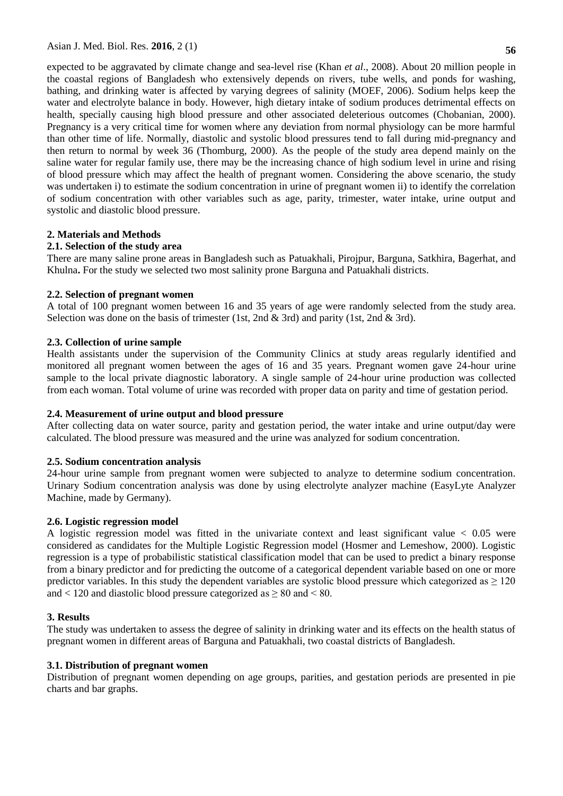expected to be aggravated by climate change and sea-level rise (Khan *et al*., 2008). About 20 million people in the coastal regions of Bangladesh who extensively depends on rivers, tube wells, and ponds for washing, bathing, and drinking water is affected by varying degrees of salinity (MOEF, 2006). Sodium helps keep the water and electrolyte balance in body. However, high dietary intake of sodium produces detrimental effects on health, specially causing high blood pressure and other associated deleterious outcomes (Chobanian, 2000). Pregnancy is a very critical time for women where any deviation from normal physiology can be more harmful than other time of life. Normally, diastolic and systolic blood pressures tend to fall during mid-pregnancy and then return to normal by week 36 (Thomburg, 2000). As the people of the study area depend mainly on the saline water for regular family use, there may be the increasing chance of high sodium level in urine and rising of blood pressure which may affect the health of pregnant women. Considering the above scenario, the study was undertaken i) to estimate the sodium concentration in urine of pregnant women ii) to identify the correlation of sodium concentration with other variables such as age, parity, trimester, water intake, urine output and systolic and diastolic blood pressure.

# **2. Materials and Methods**

# **2.1. Selection of the study area**

There are many saline prone areas in Bangladesh such as Patuakhali, Pirojpur, Barguna, Satkhira, Bagerhat, and Khulna**.** For the study we selected two most salinity prone Barguna and Patuakhali districts.

# **2.2. Selection of pregnant women**

A total of 100 pregnant women between 16 and 35 years of age were randomly selected from the study area. Selection was done on the basis of trimester (1st, 2nd & 3rd) and parity (1st, 2nd & 3rd).

# **2.3. Collection of urine sample**

Health assistants under the supervision of the Community Clinics at study areas regularly identified and monitored all pregnant women between the ages of 16 and 35 years. Pregnant women gave 24-hour urine sample to the local private diagnostic laboratory. A single sample of 24-hour urine production was collected from each woman. Total volume of urine was recorded with proper data on parity and time of gestation period.

# **2.4. Measurement of urine output and blood pressure**

After collecting data on water source, parity and gestation period, the water intake and urine output/day were calculated. The blood pressure was measured and the urine was analyzed for sodium concentration.

# **2.5. Sodium concentration analysis**

24-hour urine sample from pregnant women were subjected to analyze to determine sodium concentration. Urinary Sodium concentration analysis was done by using electrolyte analyzer machine (EasyLyte Analyzer Machine, made by Germany).

# **2.6. Logistic regression model**

A logistic regression model was fitted in the univariate context and least significant value < 0.05 were considered as candidates for the Multiple Logistic Regression model (Hosmer and Lemeshow, 2000). Logistic regression is a type of probabilistic statistical classification model that can be used to predict a binary response from a binary predictor and for predicting the outcome of a categorical dependent variable based on one or more predictor variables. In this study the dependent variables are systolic blood pressure which categorized as  $\geq 120$ and  $<$  120 and diastolic blood pressure categorized as  $\geq 80$  and  $<$  80.

### **3. Results**

The study was undertaken to assess the degree of salinity in drinking water and its effects on the health status of pregnant women in different areas of Barguna and Patuakhali, two coastal districts of Bangladesh.

### **3.1. Distribution of pregnant women**

Distribution of pregnant women depending on age groups, parities, and gestation periods are presented in pie charts and bar graphs.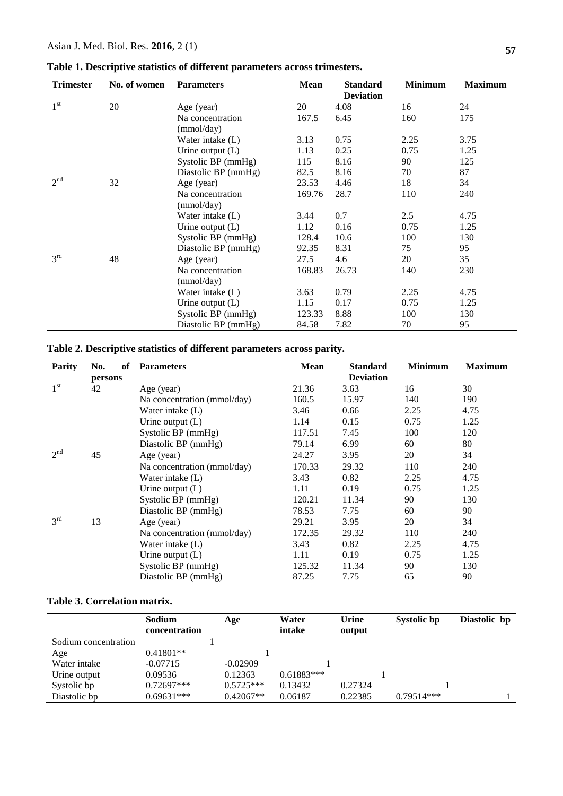|  |  |  | Table 1. Descriptive statistics of different parameters across trimesters. |  |
|--|--|--|----------------------------------------------------------------------------|--|
|--|--|--|----------------------------------------------------------------------------|--|

| <b>Trimester</b> | No. of women | <b>Mean</b><br><b>Parameters</b> |        | <b>Standard</b>  | <b>Minimum</b> | <b>Maximum</b> |
|------------------|--------------|----------------------------------|--------|------------------|----------------|----------------|
|                  |              |                                  |        | <b>Deviation</b> |                |                |
| 1 <sup>st</sup>  | 20           | Age (year)                       | 20     | 4.08             | 16             | 24             |
|                  |              | Na concentration                 | 167.5  | 6.45             | 160            | 175            |
|                  |              | (mmol/day)                       |        |                  |                |                |
|                  |              | Water intake (L)                 | 3.13   | 0.75             | 2.25           | 3.75           |
|                  |              | Urine output $(L)$               | 1.13   | 0.25             | 0.75           | 1.25           |
|                  |              | Systolic BP (mmHg)               | 115    | 8.16             | 90             | 125            |
|                  |              | Diastolic BP (mmHg)              | 82.5   | 8.16             | 70             | 87             |
| 2 <sup>nd</sup>  | 32           | Age (year)                       | 23.53  | 4.46             | 18             | 34             |
|                  |              | Na concentration                 | 169.76 | 28.7             | 110            | 240            |
|                  |              | (mmol/day)                       |        |                  |                |                |
|                  |              | Water intake (L)                 | 3.44   | 0.7              | 2.5            | 4.75           |
|                  |              | Urine output $(L)$               | 1.12   | 0.16             | 0.75           | 1.25           |
|                  |              | Systolic BP (mmHg)               | 128.4  | 10.6             | 100            | 130            |
|                  |              | Diastolic BP (mmHg)              | 92.35  | 8.31             | 75             | 95             |
| $3^{\text{rd}}$  | 48           | Age (year)                       | 27.5   | 4.6              | 20             | 35             |
|                  |              | Na concentration                 | 168.83 | 26.73            | 140            | 230            |
|                  |              | (mmol/day)                       |        |                  |                |                |
|                  |              | Water intake (L)                 | 3.63   | 0.79             | 2.25           | 4.75           |
|                  |              | Urine output $(L)$               | 1.15   | 0.17             | 0.75           | 1.25           |
|                  |              | Systolic BP (mmHg)               | 123.33 | 8.88             | 100            | 130            |
|                  |              | Diastolic BP (mmHg)              | 84.58  | 7.82             | 70             | 95             |

# **Table 2. Descriptive statistics of different parameters across parity.**

| <b>Parity</b>   | No.     | of | <b>Parameters</b>           | Mean   | <b>Standard</b>  | <b>Minimum</b> | <b>Maximum</b> |
|-----------------|---------|----|-----------------------------|--------|------------------|----------------|----------------|
|                 | persons |    |                             |        | <b>Deviation</b> |                |                |
| 1 <sup>st</sup> | 42      |    | Age (year)                  | 21.36  | 3.63             | 16             | 30             |
|                 |         |    | Na concentration (mmol/day) | 160.5  | 15.97            | 140            | 190            |
|                 |         |    | Water intake (L)            | 3.46   | 0.66             | 2.25           | 4.75           |
|                 |         |    | Urine output $(L)$          | 1.14   | 0.15             | 0.75           | 1.25           |
|                 |         |    | Systolic BP (mmHg)          | 117.51 | 7.45             | 100            | 120            |
|                 |         |    | Diastolic BP (mmHg)         | 79.14  | 6.99             | 60             | 80             |
| 2 <sup>nd</sup> | 45      |    | Age (year)                  | 24.27  | 3.95             | 20             | 34             |
|                 |         |    | Na concentration (mmol/day) | 170.33 | 29.32            | 110            | 240            |
|                 |         |    | Water intake (L)            | 3.43   | 0.82             | 2.25           | 4.75           |
|                 |         |    | Urine output $(L)$          | 1.11   | 0.19             | 0.75           | 1.25           |
|                 |         |    | Systolic BP (mmHg)          | 120.21 | 11.34            | 90             | 130            |
|                 |         |    | Diastolic BP (mmHg)         | 78.53  | 7.75             | 60             | 90             |
| $3^{\text{rd}}$ | 13      |    | Age (year)                  | 29.21  | 3.95             | 20             | 34             |
|                 |         |    | Na concentration (mmol/day) | 172.35 | 29.32            | 110            | 240            |
|                 |         |    | Water intake (L)            | 3.43   | 0.82             | 2.25           | 4.75           |
|                 |         |    | Urine output $(L)$          | 1.11   | 0.19             | 0.75           | 1.25           |
|                 |         |    | Systolic BP (mmHg)          | 125.32 | 11.34            | 90             | 130            |
|                 |         |    | Diastolic BP (mmHg)         | 87.25  | 7.75             | 65             | 90             |

# **Table 3. Correlation matrix.**

|                      | Sodium<br>concentration | Age         | Water<br>intake | Urine<br>output | <b>Systolic bp</b> | Diastolic bp |
|----------------------|-------------------------|-------------|-----------------|-----------------|--------------------|--------------|
| Sodium concentration |                         |             |                 |                 |                    |              |
| Age                  | $0.41801**$             |             |                 |                 |                    |              |
| Water intake         | $-0.07715$              | $-0.02909$  |                 |                 |                    |              |
| Urine output         | 0.09536                 | 0.12363     | $0.61883***$    |                 |                    |              |
| Systolic bp          | $0.72697***$            | $0.5725***$ | 0.13432         | 0.27324         |                    |              |
| Diastolic bp         | $0.69631***$            | $0.42067**$ | 0.06187         | 0.22385         | $0.79514***$       |              |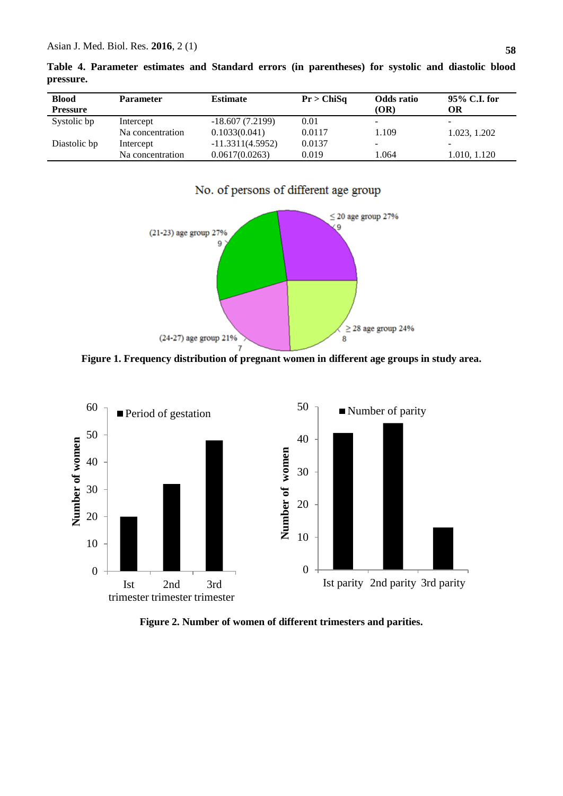| <b>Blood</b><br><b>Pressure</b> | <b>Parameter</b> | <b>Estimate</b>    | Pr > ChiSq | Odds ratio<br>( <b>OR</b> ) | 95% C.I. for<br>OR       |
|---------------------------------|------------------|--------------------|------------|-----------------------------|--------------------------|
| Systolic bp                     | Intercept        | $-18.607(7.2199)$  | 0.01       | $\overline{\phantom{a}}$    | $\overline{\phantom{a}}$ |
|                                 | Na concentration | 0.1033(0.041)      | 0.0117     | 1.109                       | 1.023, 1.202             |
| Diastolic bp                    | Intercept        | $-11.3311(4.5952)$ | 0.0137     | $\overline{a}$              | $\overline{\phantom{0}}$ |
|                                 | Na concentration | 0.0617(0.0263)     | 0.019      | 1.064                       | 1.010, 1.120             |

**Table 4. Parameter estimates and Standard errors (in parentheses) for systolic and diastolic blood pressure.**



**Figure 1. Frequency distribution of pregnant women in different age groups in study area.**



**Figure 2. Number of women of different trimesters and parities.**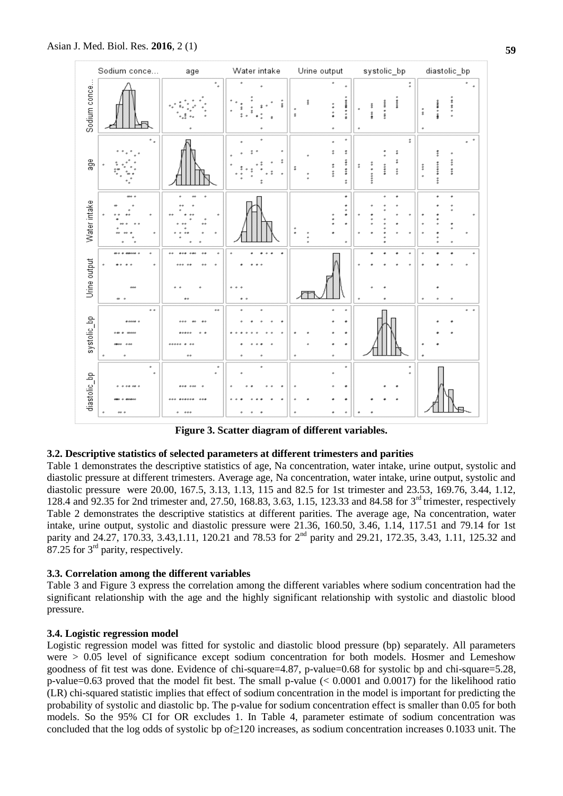

**Figure 3. Scatter diagram of different variables.**

#### **3.2. Descriptive statistics of selected parameters at different trimesters and parities**

Table 1 demonstrates the descriptive statistics of age, Na concentration, water intake, urine output, systolic and diastolic pressure at different trimesters. Average age, Na concentration, water intake, urine output, systolic and diastolic pressure were 20.00, 167.5, 3.13, 1.13, 115 and 82.5 for 1st trimester and 23.53, 169.76, 3.44, 1.12, 128.4 and 92.35 for 2nd trimester and, 27.50, 168.83, 3.63, 1.15, 123.33 and 84.58 for 3rd trimester, respectively Table 2 demonstrates the descriptive statistics at different parities. The average age, Na concentration, water intake, urine output, systolic and diastolic pressure were 21.36, 160.50, 3.46, 1.14, 117.51 and 79.14 for 1st parity and 24.27, 170.33, 3.43,1.11, 120.21 and 78.53 for 2<sup>nd</sup> parity and 29.21, 172.35, 3.43, 1.11, 125.32 and  $87.25$  for  $3<sup>rd</sup>$  parity, respectively.

### **3.3. Correlation among the different variables**

Table 3 and Figure 3 express the correlation among the different variables where sodium concentration had the significant relationship with the age and the highly significant relationship with systolic and diastolic blood pressure.

#### **3.4. Logistic regression model**

Logistic regression model was fitted for systolic and diastolic blood pressure (bp) separately. All parameters were > 0.05 level of significance except sodium concentration for both models. Hosmer and Lemeshow goodness of fit test was done. Evidence of chi-square=4.87, p-value=0.68 for systolic bp and chi-square=5.28, p-value=0.63 proved that the model fit best. The small p-value (< 0.0001 and 0.0017) for the likelihood ratio (LR) chi-squared statistic implies that effect of sodium concentration in the model is important for predicting the probability of systolic and diastolic bp. The p-value for sodium concentration effect is smaller than 0.05 for both models. So the 95% CI for OR excludes 1. In Table 4, parameter estimate of sodium concentration was concluded that the log odds of systolic bp of≥120 increases, as sodium concentration increases 0.1033 unit. The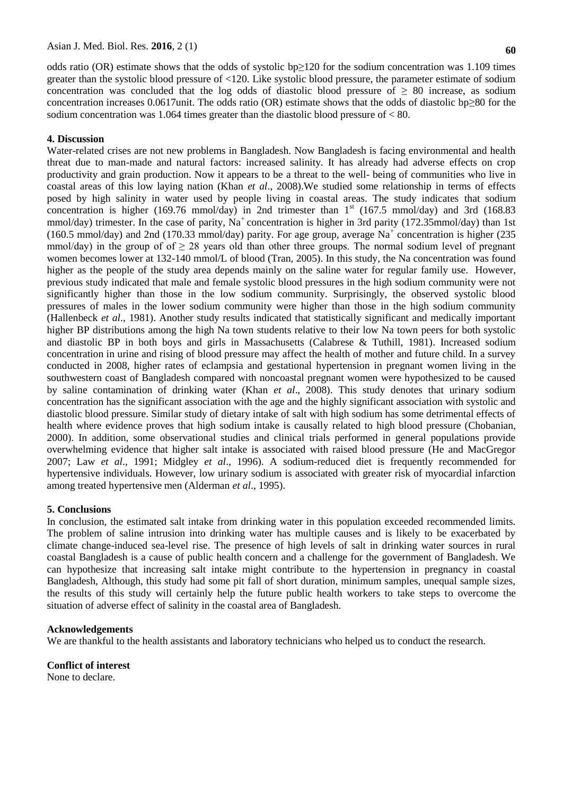odds ratio (OR) estimate shows that the odds of systolic bp≥120 for the sodium concentration was 1.109 times greater than the systolic blood pressure of <120. Like systolic blood pressure, the parameter estimate of sodium concentration was concluded that the log odds of diastolic blood pressure of  $\geq 80$  increase, as sodium concentration increases 0.0617unit. The odds ratio (OR) estimate shows that the odds of diastolic bp≥80 for the sodium concentration was 1.064 times greater than the diastolic blood pressure of < 80.

### **4. Discussion**

Water-related crises are not new problems in Bangladesh. Now Bangladesh is facing environmental and health threat due to man-made and natural factors: increased salinity. It has already had adverse effects on crop productivity and grain production. Now it appears to be a threat to the well- being of communities who live in coastal areas of this low laying nation (Khan *et al*., 2008).We studied some relationship in terms of effects posed by high salinity in water used by people living in coastal areas. The study indicates that sodium concentration is higher (169.76 mmol/day) in 2nd trimester than  $1<sup>st</sup>$  (167.5 mmol/day) and 3rd (168.83 mmol/day) trimester. In the case of parity,  $Na<sup>+</sup>$  concentration is higher in 3rd parity (172.35mmol/day) than 1st  $(160.5 \text{ mmol/day})$  and 2nd  $(170.33 \text{ mmol/day})$  parity. For age group, average Na<sup>+</sup> concentration is higher  $(235 \text{ mmol/day})$ mmol/day) in the group of of  $\geq$  28 years old than other three groups. The normal sodium level of pregnant women becomes lower at 132-140 mmol/L of blood (Tran, 2005). In this study, the Na concentration was found higher as the people of the study area depends mainly on the saline water for regular family use. However, previous study indicated that male and female systolic blood pressures in the high sodium community were not significantly higher than those in the low sodium community. Surprisingly, the observed systolic blood pressures of males in the lower sodium community were higher than those in the high sodium community (Hallenbeck *et al*., 1981). Another study results indicated that statistically significant and medically important higher BP distributions among the high Na town students relative to their low Na town peers for both systolic and diastolic BP in both boys and girls in Massachusetts (Calabrese & Tuthill, 1981). Increased sodium concentration in urine and rising of blood pressure may affect the health of mother and future child. In a survey conducted in 2008, higher rates of eclampsia and gestational hypertension in pregnant women living in the southwestern coast of Bangladesh compared with noncoastal pregnant women were hypothesized to be caused by saline contamination of drinking water (Khan *et al*., 2008). This study denotes that urinary sodium concentration has the significant association with the age and the highly significant association with systolic and diastolic blood pressure. Similar study of dietary intake of salt with high sodium has some detrimental effects of health where evidence proves that high sodium intake is causally related to high blood pressure (Chobanian, 2000). In addition, some observational studies and clinical trials performed in general populations provide overwhelming evidence that higher salt intake is associated with raised blood pressure (He and MacGregor 2007; Law *et al*., 1991; Midgley *et al*., 1996). A sodium-reduced diet is frequently recommended for hypertensive individuals. However, low urinary sodium is associated with greater risk of myocardial infarction among treated hypertensive men (Alderman *et al*., 1995).

### **5. Conclusions**

In conclusion, the estimated salt intake from drinking water in this population exceeded recommended limits. The problem of saline intrusion into drinking water has multiple causes and is likely to be exacerbated by climate change-induced sea-level rise. The presence of high levels of salt in drinking water sources in rural coastal Bangladesh is a cause of public health concern and a challenge for the government of Bangladesh. We can hypothesize that increasing salt intake might contribute to the hypertension in pregnancy in coastal Bangladesh, Although, this study had some pit fall of short duration, minimum samples, unequal sample sizes, the results of this study will certainly help the future public health workers to take steps to overcome the situation of adverse effect of salinity in the coastal area of Bangladesh.

### **Acknowledgements**

We are thankful to the health assistants and laboratory technicians who helped us to conduct the research.

# **Conflict of interest**

None to declare.